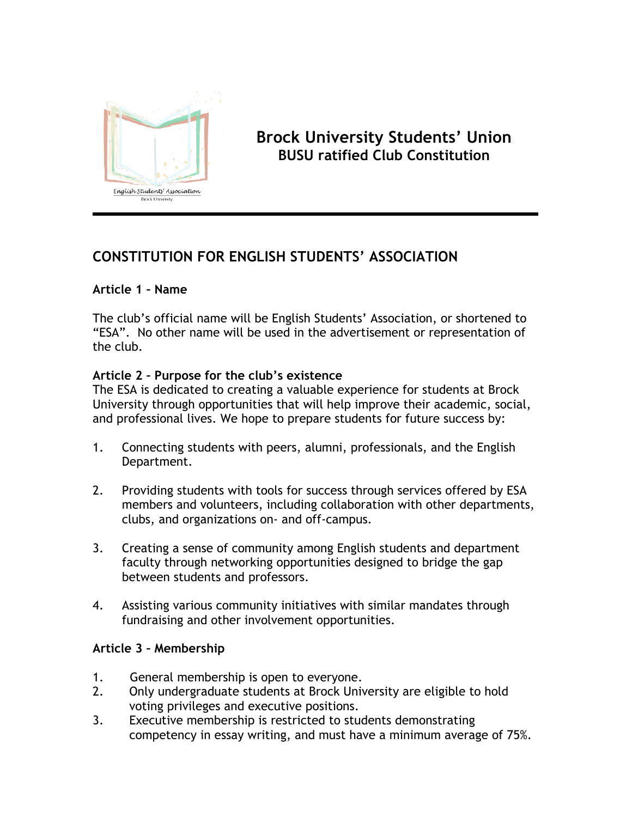

# **Brock University Students' Union BUSU ratified Club Constitution**

# **CONSTITUTION FOR ENGLISH STUDENTS' ASSOCIATION**

## **Article 1 – Name**

The club's official name will be English Students' Association, or shortened to "ESA". No other name will be used in the advertisement or representation of the club.

#### **Article 2 – Purpose for the club's existence**

The ESA is dedicated to creating a valuable experience for students at Brock University through opportunities that will help improve their academic, social, and professional lives. We hope to prepare students for future success by:

- 1. Connecting students with peers, alumni, professionals, and the English Department.
- 2. Providing students with tools for success through services offered by ESA members and volunteers, including collaboration with other departments, clubs, and organizations on- and off-campus.
- 3. Creating a sense of community among English students and department faculty through networking opportunities designed to bridge the gap between students and professors.
- 4. Assisting various community initiatives with similar mandates through fundraising and other involvement opportunities.

## **Article 3 – Membership**

- 1. General membership is open to everyone.
- 2. Only undergraduate students at Brock University are eligible to hold voting privileges and executive positions.
- 3. Executive membership is restricted to students demonstrating competency in essay writing, and must have a minimum average of 75%.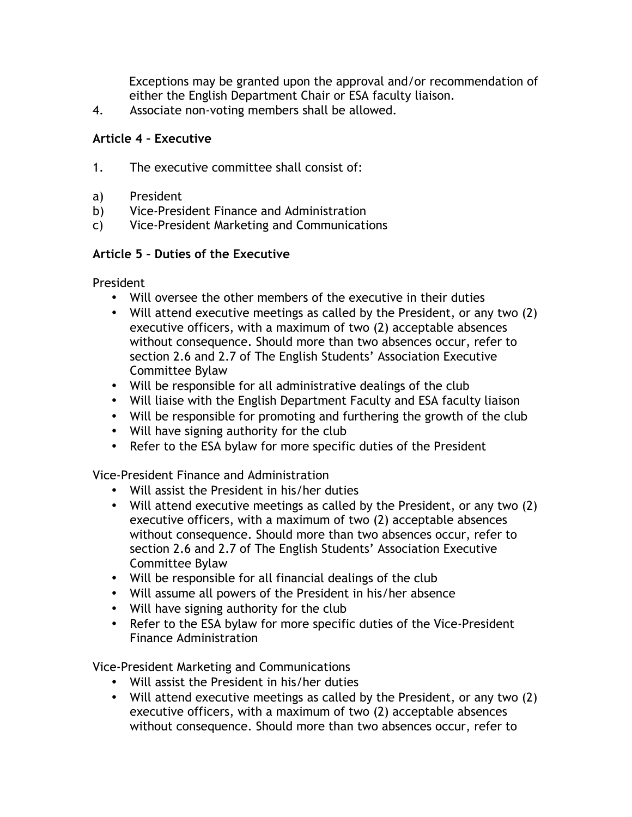Exceptions may be granted upon the approval and/or recommendation of either the English Department Chair or ESA faculty liaison.

4. Associate non-voting members shall be allowed.

#### **Article 4 – Executive**

- 1. The executive committee shall consist of:
- a) President
- b) Vice-President Finance and Administration
- c) Vice-President Marketing and Communications

#### **Article 5 – Duties of the Executive**

President

- Will oversee the other members of the executive in their duties
- Will attend executive meetings as called by the President, or any two (2) executive officers, with a maximum of two (2) acceptable absences without consequence. Should more than two absences occur, refer to section 2.6 and 2.7 of The English Students' Association Executive Committee Bylaw
- Will be responsible for all administrative dealings of the club
- Will liaise with the English Department Faculty and ESA faculty liaison
- Will be responsible for promoting and furthering the growth of the club
- Will have signing authority for the club
- Refer to the ESA bylaw for more specific duties of the President

Vice-President Finance and Administration

- Will assist the President in his/her duties
- Will attend executive meetings as called by the President, or any two (2) executive officers, with a maximum of two (2) acceptable absences without consequence. Should more than two absences occur, refer to section 2.6 and 2.7 of The English Students' Association Executive Committee Bylaw
- Will be responsible for all financial dealings of the club
- Will assume all powers of the President in his/her absence
- Will have signing authority for the club
- Refer to the ESA bylaw for more specific duties of the Vice-President Finance Administration

Vice-President Marketing and Communications

- Will assist the President in his/her duties
- Will attend executive meetings as called by the President, or any two (2) executive officers, with a maximum of two (2) acceptable absences without consequence. Should more than two absences occur, refer to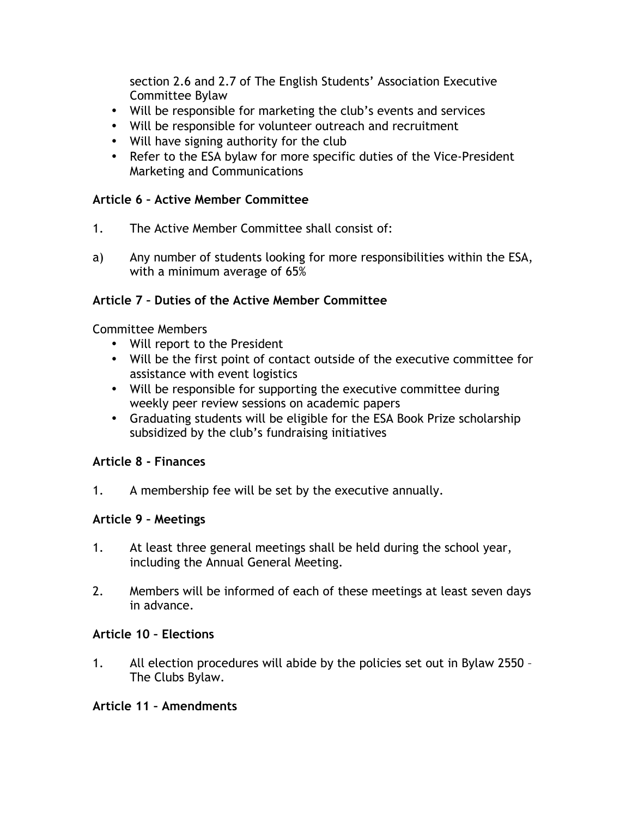section 2.6 and 2.7 of The English Students' Association Executive Committee Bylaw

- Will be responsible for marketing the club's events and services
- Will be responsible for volunteer outreach and recruitment
- Will have signing authority for the club
- Refer to the ESA bylaw for more specific duties of the Vice-President Marketing and Communications

## **Article 6 – Active Member Committee**

- 1. The Active Member Committee shall consist of:
- a) Any number of students looking for more responsibilities within the ESA, with a minimum average of 65%

## **Article 7 – Duties of the Active Member Committee**

Committee Members

- Will report to the President
- Will be the first point of contact outside of the executive committee for assistance with event logistics
- Will be responsible for supporting the executive committee during weekly peer review sessions on academic papers
- Graduating students will be eligible for the ESA Book Prize scholarship subsidized by the club's fundraising initiatives

## **Article 8 - Finances**

1. A membership fee will be set by the executive annually.

## **Article 9 – Meetings**

- 1. At least three general meetings shall be held during the school year, including the Annual General Meeting.
- 2. Members will be informed of each of these meetings at least seven days in advance.

#### **Article 10 – Elections**

1. All election procedures will abide by the policies set out in Bylaw 2550 – The Clubs Bylaw.

#### **Article 11 – Amendments**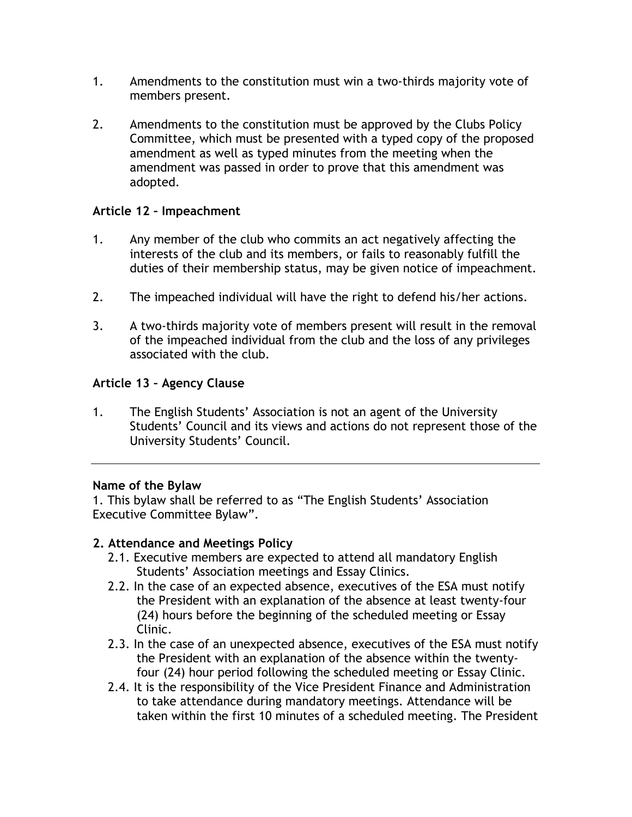- 1. Amendments to the constitution must win a two-thirds majority vote of members present.
- 2. Amendments to the constitution must be approved by the Clubs Policy Committee, which must be presented with a typed copy of the proposed amendment as well as typed minutes from the meeting when the amendment was passed in order to prove that this amendment was adopted.

## **Article 12 – Impeachment**

- 1. Any member of the club who commits an act negatively affecting the interests of the club and its members, or fails to reasonably fulfill the duties of their membership status, may be given notice of impeachment.
- 2. The impeached individual will have the right to defend his/her actions.
- 3. A two-thirds majority vote of members present will result in the removal of the impeached individual from the club and the loss of any privileges associated with the club.

## **Article 13 – Agency Clause**

1. The English Students' Association is not an agent of the University Students' Council and its views and actions do not represent those of the University Students' Council.

#### **Name of the Bylaw**

1. This bylaw shall be referred to as "The English Students' Association Executive Committee Bylaw".

## **2. Attendance and Meetings Policy**

- 2.1. Executive members are expected to attend all mandatory English Students' Association meetings and Essay Clinics.
- 2.2. In the case of an expected absence, executives of the ESA must notify the President with an explanation of the absence at least twenty-four (24) hours before the beginning of the scheduled meeting or Essay Clinic.
- 2.3. In the case of an unexpected absence, executives of the ESA must notify the President with an explanation of the absence within the twentyfour (24) hour period following the scheduled meeting or Essay Clinic.
- 2.4. It is the responsibility of the Vice President Finance and Administration to take attendance during mandatory meetings. Attendance will be taken within the first 10 minutes of a scheduled meeting. The President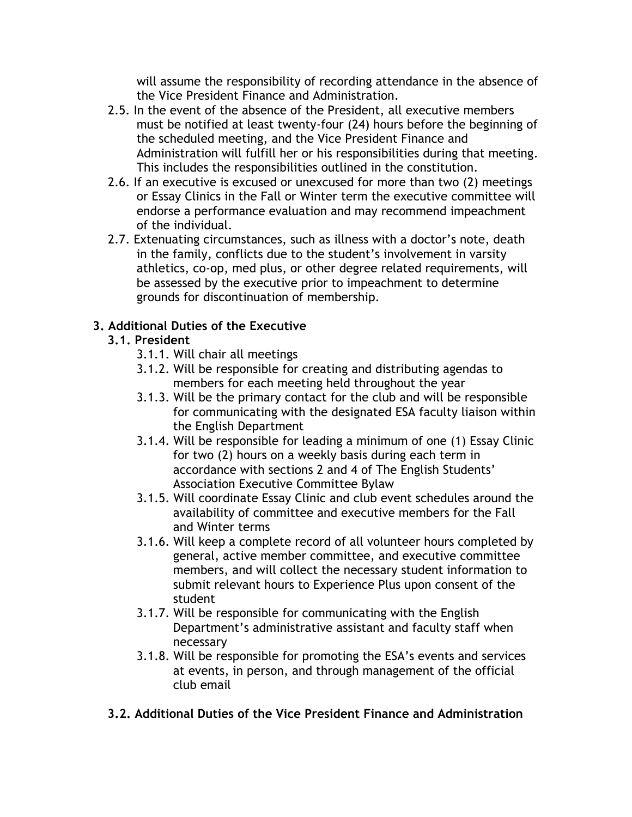will assume the responsibility of recording attendance in the absence of the Vice President Finance and Administration.

- 2.5. In the event of the absence of the President, all executive members must be notified at least twenty-four (24) hours before the beginning of the scheduled meeting, and the Vice President Finance and Administration will fulfill her or his responsibilities during that meeting. This includes the responsibilities outlined in the constitution.
- 2.6. If an executive is excused or unexcused for more than two (2) meetings or Essay Clinics in the Fall or Winter term the executive committee will endorse a performance evaluation and may recommend impeachment of the individual.
- 2.7. Extenuating circumstances, such as illness with a doctor's note, death in the family, conflicts due to the student's involvement in varsity athletics, co-op, med plus, or other degree related requirements, will be assessed by the executive prior to impeachment to determine grounds for discontinuation of membership.

## **3. Additional Duties of the Executive**

## **3.1. President**

- 3.1.1. Will chair all meetings
- 3.1.2. Will be responsible for creating and distributing agendas to members for each meeting held throughout the year
- 3.1.3. Will be the primary contact for the club and will be responsible for communicating with the designated ESA faculty liaison within the English Department
- 3.1.4. Will be responsible for leading a minimum of one (1) Essay Clinic for two (2) hours on a weekly basis during each term in accordance with sections 2 and 4 of The English Students' Association Executive Committee Bylaw
- 3.1.5. Will coordinate Essay Clinic and club event schedules around the availability of committee and executive members for the Fall and Winter terms
- 3.1.6. Will keep a complete record of all volunteer hours completed by general, active member committee, and executive committee members, and will collect the necessary student information to submit relevant hours to Experience Plus upon consent of the student
- 3.1.7. Will be responsible for communicating with the English Department's administrative assistant and faculty staff when necessary
- 3.1.8. Will be responsible for promoting the ESA's events and services at events, in person, and through management of the official club email
- **3.2. Additional Duties of the Vice President Finance and Administration**